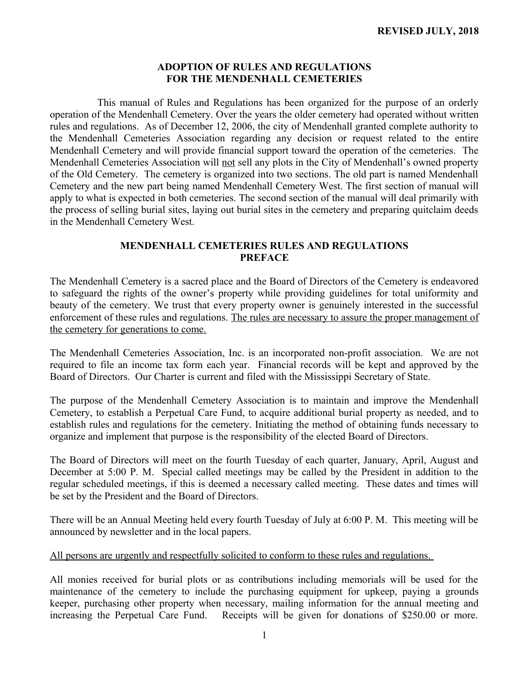## **ADOPTION OF RULES AND REGULATIONS FOR THE MENDENHALL CEMETERIES**

 This manual of Rules and Regulations has been organized for the purpose of an orderly operation of the Mendenhall Cemetery. Over the years the older cemetery had operated without written rules and regulations. As of December 12, 2006, the city of Mendenhall granted complete authority to the Mendenhall Cemeteries Association regarding any decision or request related to the entire Mendenhall Cemetery and will provide financial support toward the operation of the cemeteries. The Mendenhall Cemeteries Association will not sell any plots in the City of Mendenhall's owned property of the Old Cemetery. The cemetery is organized into two sections. The old part is named Mendenhall Cemetery and the new part being named Mendenhall Cemetery West. The first section of manual will apply to what is expected in both cemeteries. The second section of the manual will deal primarily with the process of selling burial sites, laying out burial sites in the cemetery and preparing quitclaim deeds in the Mendenhall Cemetery West.

### **MENDENHALL CEMETERIES RULES AND REGULATIONS PREFACE**

The Mendenhall Cemetery is a sacred place and the Board of Directors of the Cemetery is endeavored to safeguard the rights of the owner's property while providing guidelines for total uniformity and beauty of the cemetery. We trust that every property owner is genuinely interested in the successful enforcement of these rules and regulations. The rules are necessary to assure the proper management of the cemetery for generations to come.

The Mendenhall Cemeteries Association, Inc. is an incorporated non-profit association. We are not required to file an income tax form each year. Financial records will be kept and approved by the Board of Directors. Our Charter is current and filed with the Mississippi Secretary of State.

The purpose of the Mendenhall Cemetery Association is to maintain and improve the Mendenhall Cemetery, to establish a Perpetual Care Fund, to acquire additional burial property as needed, and to establish rules and regulations for the cemetery. Initiating the method of obtaining funds necessary to organize and implement that purpose is the responsibility of the elected Board of Directors.

The Board of Directors will meet on the fourth Tuesday of each quarter, January, April, August and December at 5:00 P. M. Special called meetings may be called by the President in addition to the regular scheduled meetings, if this is deemed a necessary called meeting. These dates and times will be set by the President and the Board of Directors.

There will be an Annual Meeting held every fourth Tuesday of July at 6:00 P. M. This meeting will be announced by newsletter and in the local papers.

### All persons are urgently and respectfully solicited to conform to these rules and regulations.

All monies received for burial plots or as contributions including memorials will be used for the maintenance of the cemetery to include the purchasing equipment for upkeep, paying a grounds keeper, purchasing other property when necessary, mailing information for the annual meeting and increasing the Perpetual Care Fund. Receipts will be given for donations of \$250.00 or more.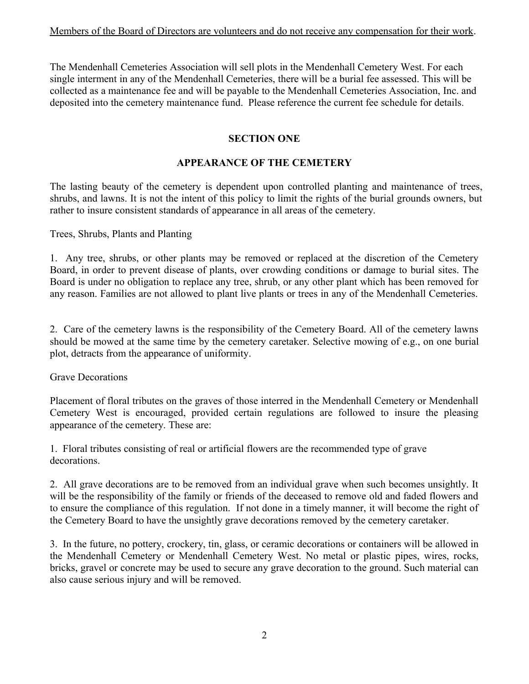The Mendenhall Cemeteries Association will sell plots in the Mendenhall Cemetery West. For each single interment in any of the Mendenhall Cemeteries, there will be a burial fee assessed. This will be collected as a maintenance fee and will be payable to the Mendenhall Cemeteries Association, Inc. and deposited into the cemetery maintenance fund. Please reference the current fee schedule for details.

## **SECTION ONE**

# **APPEARANCE OF THE CEMETERY**

The lasting beauty of the cemetery is dependent upon controlled planting and maintenance of trees, shrubs, and lawns. It is not the intent of this policy to limit the rights of the burial grounds owners, but rather to insure consistent standards of appearance in all areas of the cemetery.

Trees, Shrubs, Plants and Planting

1. Any tree, shrubs, or other plants may be removed or replaced at the discretion of the Cemetery Board, in order to prevent disease of plants, over crowding conditions or damage to burial sites. The Board is under no obligation to replace any tree, shrub, or any other plant which has been removed for any reason. Families are not allowed to plant live plants or trees in any of the Mendenhall Cemeteries.

2. Care of the cemetery lawns is the responsibility of the Cemetery Board. All of the cemetery lawns should be mowed at the same time by the cemetery caretaker. Selective mowing of e.g., on one burial plot, detracts from the appearance of uniformity.

Grave Decorations

Placement of floral tributes on the graves of those interred in the Mendenhall Cemetery or Mendenhall Cemetery West is encouraged, provided certain regulations are followed to insure the pleasing appearance of the cemetery. These are:

1. Floral tributes consisting of real or artificial flowers are the recommended type of grave decorations.

2. All grave decorations are to be removed from an individual grave when such becomes unsightly. It will be the responsibility of the family or friends of the deceased to remove old and faded flowers and to ensure the compliance of this regulation. If not done in a timely manner, it will become the right of the Cemetery Board to have the unsightly grave decorations removed by the cemetery caretaker.

3. In the future, no pottery, crockery, tin, glass, or ceramic decorations or containers will be allowed in the Mendenhall Cemetery or Mendenhall Cemetery West. No metal or plastic pipes, wires, rocks, bricks, gravel or concrete may be used to secure any grave decoration to the ground. Such material can also cause serious injury and will be removed.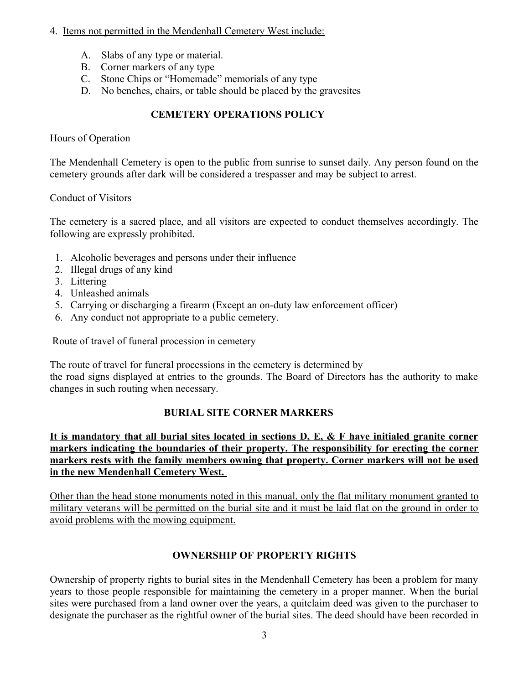## 4. Items not permitted in the Mendenhall Cemetery West include:

- A. Slabs of any type or material.
- B. Corner markers of any type
- C. Stone Chips or "Homemade" memorials of any type
- D. No benches, chairs, or table should be placed by the gravesites

# **CEMETERY OPERATIONS POLICY**

Hours of Operation

The Mendenhall Cemetery is open to the public from sunrise to sunset daily. Any person found on the cemetery grounds after dark will be considered a trespasser and may be subject to arrest.

Conduct of Visitors

The cemetery is a sacred place, and all visitors are expected to conduct themselves accordingly. The following are expressly prohibited.

- 1. Alcoholic beverages and persons under their influence
- 2. Illegal drugs of any kind
- 3. Littering
- 4. Unleashed animals
- 5. Carrying or discharging a firearm (Except an on-duty law enforcement officer)
- 6. Any conduct not appropriate to a public cemetery.

Route of travel of funeral procession in cemetery

The route of travel for funeral processions in the cemetery is determined by the road signs displayed at entries to the grounds. The Board of Directors has the authority to make changes in such routing when necessary.

# **BURIAL SITE CORNER MARKERS**

**It is mandatory that all burial sites located in sections D, E, & F have initialed granite corner markers indicating the boundaries of their property. The responsibility for erecting the corner markers rests with the family members owning that property. Corner markers will not be used in the new Mendenhall Cemetery West.** 

Other than the head stone monuments noted in this manual, only the flat military monument granted to military veterans will be permitted on the burial site and it must be laid flat on the ground in order to avoid problems with the mowing equipment.

# **OWNERSHIP OF PROPERTY RIGHTS**

Ownership of property rights to burial sites in the Mendenhall Cemetery has been a problem for many years to those people responsible for maintaining the cemetery in a proper manner. When the burial sites were purchased from a land owner over the years, a quitclaim deed was given to the purchaser to designate the purchaser as the rightful owner of the burial sites. The deed should have been recorded in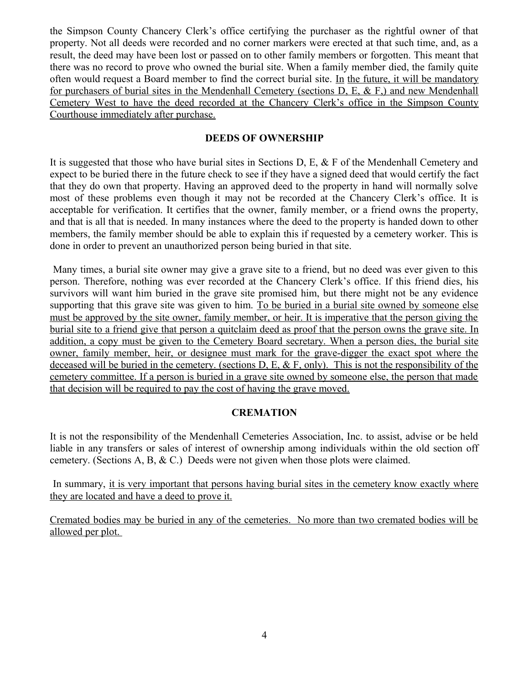the Simpson County Chancery Clerk's office certifying the purchaser as the rightful owner of that property. Not all deeds were recorded and no corner markers were erected at that such time, and, as a result, the deed may have been lost or passed on to other family members or forgotten. This meant that there was no record to prove who owned the burial site. When a family member died, the family quite often would request a Board member to find the correct burial site. In the future, it will be mandatory for purchasers of burial sites in the Mendenhall Cemetery (sections D, E, & F,) and new Mendenhall Cemetery West to have the deed recorded at the Chancery Clerk's office in the Simpson County Courthouse immediately after purchase.

### **DEEDS OF OWNERSHIP**

It is suggested that those who have burial sites in Sections D, E, & F of the Mendenhall Cemetery and expect to be buried there in the future check to see if they have a signed deed that would certify the fact that they do own that property. Having an approved deed to the property in hand will normally solve most of these problems even though it may not be recorded at the Chancery Clerk's office. It is acceptable for verification. It certifies that the owner, family member, or a friend owns the property, and that is all that is needed. In many instances where the deed to the property is handed down to other members, the family member should be able to explain this if requested by a cemetery worker. This is done in order to prevent an unauthorized person being buried in that site.

 Many times, a burial site owner may give a grave site to a friend, but no deed was ever given to this person. Therefore, nothing was ever recorded at the Chancery Clerk's office. If this friend dies, his survivors will want him buried in the grave site promised him, but there might not be any evidence supporting that this grave site was given to him. To be buried in a burial site owned by someone else must be approved by the site owner, family member, or heir. It is imperative that the person giving the burial site to a friend give that person a quitclaim deed as proof that the person owns the grave site. In addition, a copy must be given to the Cemetery Board secretary. When a person dies, the burial site owner, family member, heir, or designee must mark for the grave-digger the exact spot where the deceased will be buried in the cemetery. (sections  $D, E, \& F$ , only). This is not the responsibility of the cemetery committee. If a person is buried in a grave site owned by someone else, the person that made that decision will be required to pay the cost of having the grave moved.

## **CREMATION**

It is not the responsibility of the Mendenhall Cemeteries Association, Inc. to assist, advise or be held liable in any transfers or sales of interest of ownership among individuals within the old section off cemetery. (Sections A, B, & C.) Deeds were not given when those plots were claimed.

In summary, it is very important that persons having burial sites in the cemetery know exactly where they are located and have a deed to prove it.

Cremated bodies may be buried in any of the cemeteries. No more than two cremated bodies will be allowed per plot.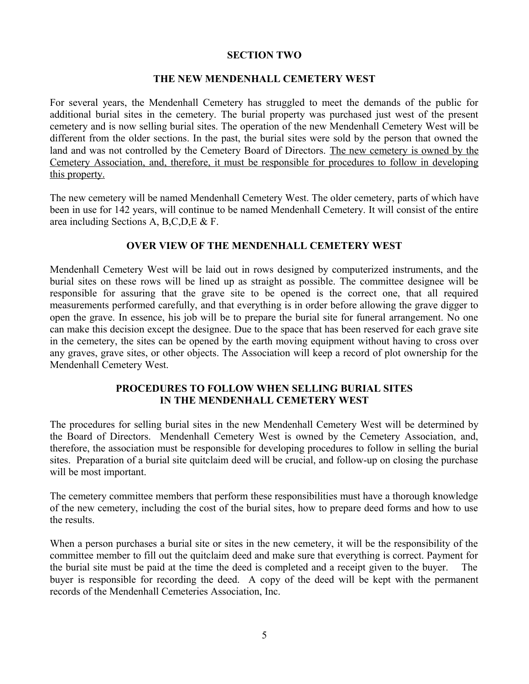#### **SECTION TWO**

#### **THE NEW MENDENHALL CEMETERY WEST**

For several years, the Mendenhall Cemetery has struggled to meet the demands of the public for additional burial sites in the cemetery. The burial property was purchased just west of the present cemetery and is now selling burial sites. The operation of the new Mendenhall Cemetery West will be different from the older sections. In the past, the burial sites were sold by the person that owned the land and was not controlled by the Cemetery Board of Directors. The new cemetery is owned by the Cemetery Association, and, therefore, it must be responsible for procedures to follow in developing this property.

The new cemetery will be named Mendenhall Cemetery West. The older cemetery, parts of which have been in use for 142 years, will continue to be named Mendenhall Cemetery. It will consist of the entire area including Sections A, B,C,D,E & F.

#### **OVER VIEW OF THE MENDENHALL CEMETERY WEST**

Mendenhall Cemetery West will be laid out in rows designed by computerized instruments, and the burial sites on these rows will be lined up as straight as possible. The committee designee will be responsible for assuring that the grave site to be opened is the correct one, that all required measurements performed carefully, and that everything is in order before allowing the grave digger to open the grave. In essence, his job will be to prepare the burial site for funeral arrangement. No one can make this decision except the designee. Due to the space that has been reserved for each grave site in the cemetery, the sites can be opened by the earth moving equipment without having to cross over any graves, grave sites, or other objects. The Association will keep a record of plot ownership for the Mendenhall Cemetery West.

## **PROCEDURES TO FOLLOW WHEN SELLING BURIAL SITES IN THE MENDENHALL CEMETERY WEST**

The procedures for selling burial sites in the new Mendenhall Cemetery West will be determined by the Board of Directors. Mendenhall Cemetery West is owned by the Cemetery Association, and, therefore, the association must be responsible for developing procedures to follow in selling the burial sites. Preparation of a burial site quitclaim deed will be crucial, and follow-up on closing the purchase will be most important.

The cemetery committee members that perform these responsibilities must have a thorough knowledge of the new cemetery, including the cost of the burial sites, how to prepare deed forms and how to use the results.

When a person purchases a burial site or sites in the new cemetery, it will be the responsibility of the committee member to fill out the quitclaim deed and make sure that everything is correct. Payment for the burial site must be paid at the time the deed is completed and a receipt given to the buyer. The buyer is responsible for recording the deed. A copy of the deed will be kept with the permanent records of the Mendenhall Cemeteries Association, Inc.